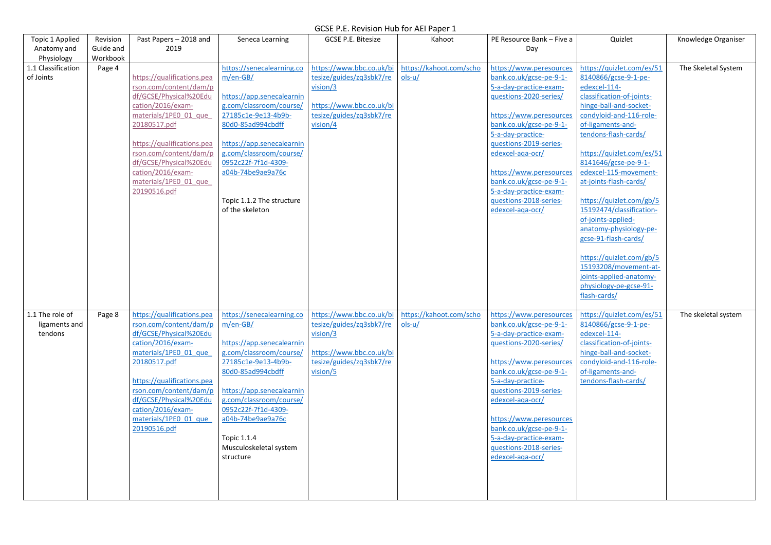| Topic 1 Applied                             | Revision              | Past Papers - 2018 and                                                                                                                                                                                                                                                                                  | Seneca Learning                                                                                                                                                                                                                                                                                 | <b>GCSE P.E. Bitesize</b>                                                                                                            | Kahoot                              | PE Resource Bank - Five a                                                                                                                                                                                                                                                                                                                                     | Quizlet                                                                                                                                                                                                                                                                                                                                                                                                                                                                                                                                                            | Knowledge Organiser |
|---------------------------------------------|-----------------------|---------------------------------------------------------------------------------------------------------------------------------------------------------------------------------------------------------------------------------------------------------------------------------------------------------|-------------------------------------------------------------------------------------------------------------------------------------------------------------------------------------------------------------------------------------------------------------------------------------------------|--------------------------------------------------------------------------------------------------------------------------------------|-------------------------------------|---------------------------------------------------------------------------------------------------------------------------------------------------------------------------------------------------------------------------------------------------------------------------------------------------------------------------------------------------------------|--------------------------------------------------------------------------------------------------------------------------------------------------------------------------------------------------------------------------------------------------------------------------------------------------------------------------------------------------------------------------------------------------------------------------------------------------------------------------------------------------------------------------------------------------------------------|---------------------|
| Anatomy and<br>Physiology                   | Guide and<br>Workbook | 2019                                                                                                                                                                                                                                                                                                    |                                                                                                                                                                                                                                                                                                 |                                                                                                                                      |                                     | Day                                                                                                                                                                                                                                                                                                                                                           |                                                                                                                                                                                                                                                                                                                                                                                                                                                                                                                                                                    |                     |
| 1.1 Classification<br>of Joints             | Page 4                | https://qualifications.pea<br>rson.com/content/dam/p<br>df/GCSE/Physical%20Edu<br>cation/2016/exam-<br>materials/1PE0 01 que<br>20180517.pdf<br>https://qualifications.pea<br>rson.com/content/dam/p<br>df/GCSE/Physical%20Edu<br>cation/2016/exam-<br>materials/1PE0 01 que<br>20190516.pdf            | https://senecalearning.co<br>$m/en-GB/$<br>https://app.senecalearnin<br>g.com/classroom/course/<br>27185c1e-9e13-4b9b-<br>80d0-85ad994cbdff<br>https://app.senecalearnin<br>g.com/classroom/course/<br>0952c22f-7f1d-4309-<br>a04b-74be9ae9a76c<br>Topic 1.1.2 The structure<br>of the skeleton | https://www.bbc.co.uk/bi<br>tesize/guides/zq3sbk7/re<br>vision/3<br>https://www.bbc.co.uk/bi<br>tesize/guides/zq3sbk7/re<br>vision/4 | https://kahoot.com/scho<br>$ols-u/$ | https://www.peresources<br>bank.co.uk/gcse-pe-9-1-<br>5-a-day-practice-exam-<br>questions-2020-series/<br>https://www.peresources<br>bank.co.uk/gcse-pe-9-1-<br>5-a-day-practice-<br>questions-2019-series-<br>edexcel-aga-ocr/<br>https://www.peresources<br>bank.co.uk/gcse-pe-9-1-<br>5-a-day-practice-exam-<br>questions-2018-series-<br>edexcel-aga-ocr/ | https://quizlet.com/es/51<br>8140866/gcse-9-1-pe-<br>edexcel-114-<br>classification-of-joints-<br>hinge-ball-and-socket-<br>condyloid-and-116-role-<br>of-ligaments-and-<br>tendons-flash-cards/<br>https://quizlet.com/es/51<br>8141646/gcse-pe-9-1-<br>edexcel-115-movement-<br>at-joints-flash-cards/<br>https://quizlet.com/gb/5<br>15192474/classification-<br>of-joints-applied-<br>anatomy-physiology-pe-<br>gcse-91-flash-cards/<br>https://quizlet.com/gb/5<br>15193208/movement-at-<br>joints-applied-anatomy-<br>physiology-pe-gcse-91-<br>flash-cards/ | The Skeletal System |
| 1.1 The role of<br>ligaments and<br>tendons | Page 8                | https://qualifications.pea<br>rson.com/content/dam/p   m/en-GB/<br>df/GCSE/Physical%20Edu<br>cation/2016/exam-<br>materials/1PE0 01 que<br>20180517.pdf<br>https://qualifications.pea<br>rson.com/content/dam/p<br>df/GCSE/Physical%20Edu<br>cation/2016/exam-<br>materials/1PE0 01 que<br>20190516.pdf | https://senecalearning.co<br>https://app.senecalearnin<br>g.com/classroom/course/<br>27185c1e-9e13-4b9b-<br>80d0-85ad994cbdff<br>https://app.senecalearnin<br>g.com/classroom/course/<br>0952c22f-7f1d-4309-<br>a04b-74be9ae9a76c<br>Topic 1.1.4<br>Musculoskeletal system<br>structure         | https://www.bbc.co.uk/bi<br>tesize/guides/zq3sbk7/re<br>vision/3<br>https://www.bbc.co.uk/bi<br>tesize/guides/zq3sbk7/re<br>vision/5 | https://kahoot.com/scho<br>ols-u/   | https://www.peresources<br>bank.co.uk/gcse-pe-9-1-<br>5-a-day-practice-exam-<br>questions-2020-series/<br>https://www.peresources<br>bank.co.uk/gcse-pe-9-1-<br>5-a-day-practice-<br>guestions-2019-series-<br>edexcel-aga-ocr/<br>https://www.peresources<br>bank.co.uk/gcse-pe-9-1-<br>5-a-day-practice-exam-<br>questions-2018-series-<br>edexcel-aga-ocr/ | https://quizlet.com/es/51<br>8140866/gcse-9-1-pe-<br>edexcel-114-<br>classification-of-joints-<br>hinge-ball-and-socket-<br>condyloid-and-116-role-<br>of-ligaments-and-<br>tendons-flash-cards/                                                                                                                                                                                                                                                                                                                                                                   | The skeletal system |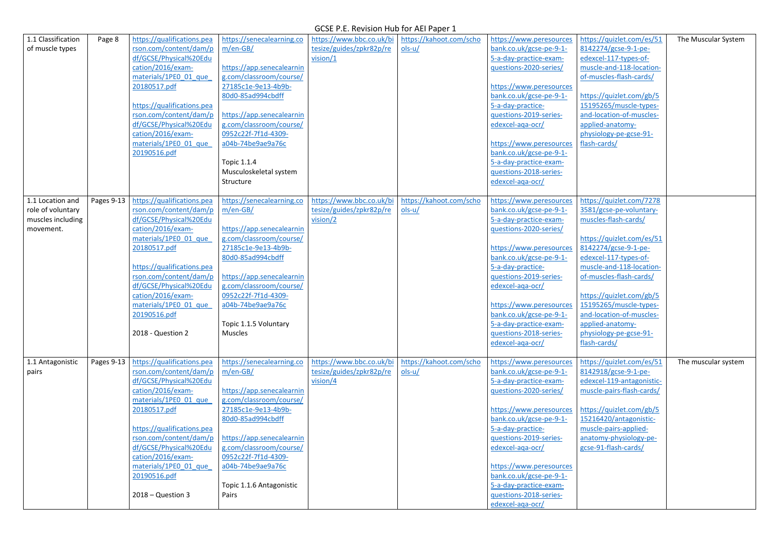| 1.1 Classification | Page 8     | https://qualifications.pea | https://senecalearning.co        | https://www.bbc.co.uk/bi | https://kahoot.com/scho | https://www.peresources                          | https://quizlet.com/es/51                  | The Muscular System |
|--------------------|------------|----------------------------|----------------------------------|--------------------------|-------------------------|--------------------------------------------------|--------------------------------------------|---------------------|
| of muscle types    |            | rson.com/content/dam/p     | $m/en-GB/$                       | tesize/guides/zpkr82p/re | $ols-u/$                | bank.co.uk/gcse-pe-9-1-                          | 8142274/gcse-9-1-pe-                       |                     |
|                    |            | df/GCSE/Physical%20Edu     |                                  | vision/1                 |                         | 5-a-day-practice-exam-                           | edexcel-117-types-of-                      |                     |
|                    |            | cation/2016/exam-          | https://app.senecalearnin        |                          |                         | questions-2020-series/                           | muscle-and-118-location-                   |                     |
|                    |            | materials/1PE0 01 que      | g.com/classroom/course/          |                          |                         |                                                  | of-muscles-flash-cards/                    |                     |
|                    |            | 20180517.pdf               | 27185c1e-9e13-4b9b-              |                          |                         | https://www.peresources                          |                                            |                     |
|                    |            |                            | 80d0-85ad994cbdff                |                          |                         | bank.co.uk/gcse-pe-9-1-                          | https://quizlet.com/gb/5                   |                     |
|                    |            | https://qualifications.pea |                                  |                          |                         | 5-a-day-practice-                                | 15195265/muscle-types-                     |                     |
|                    |            | rson.com/content/dam/p     | https://app.senecalearnin        |                          |                         | questions-2019-series-                           | and-location-of-muscles-                   |                     |
|                    |            | df/GCSE/Physical%20Edu     | g.com/classroom/course/          |                          |                         | edexcel-aga-ocr/                                 | applied-anatomy-                           |                     |
|                    |            | cation/2016/exam-          | 0952c22f-7f1d-4309-              |                          |                         |                                                  | physiology-pe-gcse-91-                     |                     |
|                    |            | materials/1PE0 01 que      | a04b-74be9ae9a76c                |                          |                         | https://www.peresources                          | flash-cards/                               |                     |
|                    |            | 20190516.pdf               |                                  |                          |                         | bank.co.uk/gcse-pe-9-1-                          |                                            |                     |
|                    |            |                            | Topic 1.1.4                      |                          |                         | 5-a-day-practice-exam-                           |                                            |                     |
|                    |            |                            | Musculoskeletal system           |                          |                         | questions-2018-series-                           |                                            |                     |
|                    |            |                            | Structure                        |                          |                         | edexcel-aga-ocr/                                 |                                            |                     |
|                    |            |                            |                                  |                          |                         |                                                  |                                            |                     |
| 1.1 Location and   | Pages 9-13 | https://qualifications.pea | https://senecalearning.co        | https://www.bbc.co.uk/bi | https://kahoot.com/scho | https://www.peresources                          | https://quizlet.com/7278                   |                     |
| role of voluntary  |            | rson.com/content/dam/p     | $m/en-GB/$                       | tesize/guides/zpkr82p/re | $ols-u/$                | bank.co.uk/gcse-pe-9-1-                          | 3581/gcse-pe-voluntary-                    |                     |
| muscles including  |            | df/GCSE/Physical%20Edu     |                                  | vision/2                 |                         | 5-a-day-practice-exam-                           | muscles-flash-cards/                       |                     |
| movement.          |            | cation/2016/exam-          | https://app.senecalearnin        |                          |                         | questions-2020-series/                           |                                            |                     |
|                    |            | materials/1PE0 01 que      | g.com/classroom/course/          |                          |                         |                                                  | https://quizlet.com/es/51                  |                     |
|                    |            | 20180517.pdf               | 27185c1e-9e13-4b9b-              |                          |                         | https://www.peresources                          | 8142274/gcse-9-1-pe-                       |                     |
|                    |            |                            | 80d0-85ad994cbdff                |                          |                         | bank.co.uk/gcse-pe-9-1-                          | edexcel-117-types-of-                      |                     |
|                    |            | https://qualifications.pea |                                  |                          |                         | 5-a-day-practice-                                | muscle-and-118-location-                   |                     |
|                    |            | rson.com/content/dam/p     | https://app.senecalearnin        |                          |                         | questions-2019-series-                           | of-muscles-flash-cards/                    |                     |
|                    |            | df/GCSE/Physical%20Edu     | g.com/classroom/course/          |                          |                         | edexcel-aga-ocr/                                 |                                            |                     |
|                    |            | cation/2016/exam-          | 0952c22f-7f1d-4309-              |                          |                         |                                                  | https://quizlet.com/gb/5                   |                     |
|                    |            | materials/1PE0 01 que      | a04b-74be9ae9a76c                |                          |                         | https://www.peresources                          | 15195265/muscle-types-                     |                     |
|                    |            | 20190516.pdf               |                                  |                          |                         | bank.co.uk/gcse-pe-9-1-                          | and-location-of-muscles-                   |                     |
|                    |            | 2018 - Question 2          | Topic 1.1.5 Voluntary<br>Muscles |                          |                         | 5-a-day-practice-exam-<br>questions-2018-series- | applied-anatomy-<br>physiology-pe-gcse-91- |                     |
|                    |            |                            |                                  |                          |                         | edexcel-aga-ocr/                                 | flash-cards/                               |                     |
|                    |            |                            |                                  |                          |                         |                                                  |                                            |                     |
| 1.1 Antagonistic   | Pages 9-13 | https://qualifications.pea | https://senecalearning.co        | https://www.bbc.co.uk/bi | https://kahoot.com/scho | https://www.peresources                          | https://quizlet.com/es/51                  | The muscular system |
| pairs              |            | rson.com/content/dam/p     | $m/en-GB/$                       | tesize/guides/zpkr82p/re | $ols-u/$                | bank.co.uk/gcse-pe-9-1-                          | 8142918/gcse-9-1-pe-                       |                     |
|                    |            | df/GCSE/Physical%20Edu     |                                  | vision/4                 |                         | 5-a-day-practice-exam-                           | edexcel-119-antagonistic-                  |                     |
|                    |            | cation/2016/exam-          | https://app.senecalearnin        |                          |                         | questions-2020-series/                           | muscle-pairs-flash-cards/                  |                     |
|                    |            | materials/1PE0 01 que      | g.com/classroom/course/          |                          |                         |                                                  |                                            |                     |
|                    |            | 20180517.pdf               | 27185c1e-9e13-4b9b-              |                          |                         | https://www.peresources                          | https://quizlet.com/gb/5                   |                     |
|                    |            |                            | 80d0-85ad994cbdff                |                          |                         | bank.co.uk/gcse-pe-9-1-                          | 15216420/antagonistic-                     |                     |
|                    |            | https://qualifications.pea |                                  |                          |                         | 5-a-day-practice-                                | muscle-pairs-applied-                      |                     |
|                    |            | rson.com/content/dam/p     | https://app.senecalearnin        |                          |                         | questions-2019-series-                           | anatomy-physiology-pe-                     |                     |
|                    |            | df/GCSE/Physical%20Edu     | g.com/classroom/course/          |                          |                         | edexcel-aga-ocr/                                 | gcse-91-flash-cards/                       |                     |
|                    |            | cation/2016/exam-          | 0952c22f-7f1d-4309-              |                          |                         |                                                  |                                            |                     |
|                    |            | materials/1PE0 01 que      | a04b-74be9ae9a76c                |                          |                         | https://www.peresources                          |                                            |                     |
|                    |            | 20190516.pdf               |                                  |                          |                         | bank.co.uk/gcse-pe-9-1-                          |                                            |                     |
|                    |            |                            | Topic 1.1.6 Antagonistic         |                          |                         | 5-a-day-practice-exam-                           |                                            |                     |
|                    |            | 2018 - Question 3          | Pairs                            |                          |                         | questions-2018-series-                           |                                            |                     |
|                    |            |                            |                                  |                          |                         | edexcel-aga-ocr/                                 |                                            |                     |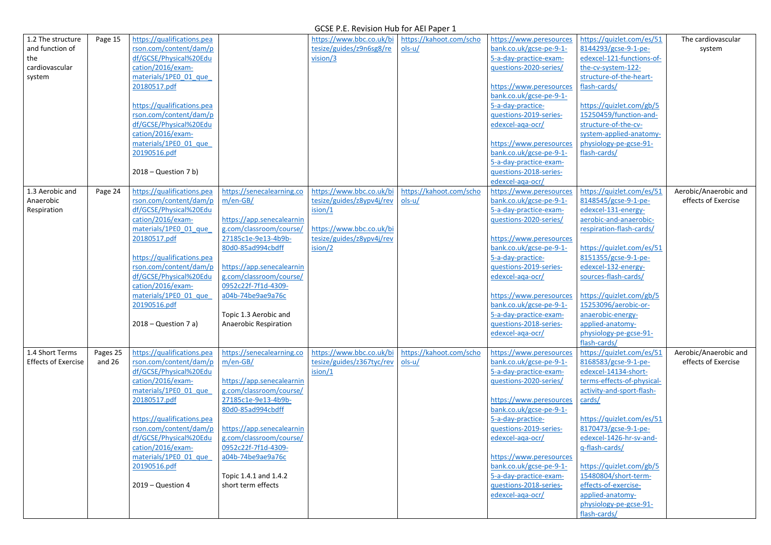| 1.2 The structure          | Page 15  | https://qualifications.pea                       |                                                      | https://www.bbc.co.uk/bi  | https://kahoot.com/scho | https://www.peresources | https://quizlet.com/es/51  | The cardiovascular    |
|----------------------------|----------|--------------------------------------------------|------------------------------------------------------|---------------------------|-------------------------|-------------------------|----------------------------|-----------------------|
| and function of            |          | rson.com/content/dam/p                           |                                                      | tesize/guides/z9n6sg8/re  | $ols-u/$                | bank.co.uk/gcse-pe-9-1- | 8144293/gcse-9-1-pe-       | system                |
| the                        |          | df/GCSE/Physical%20Edu                           |                                                      | vision/3                  |                         | 5-a-day-practice-exam-  | edexcel-121-functions-of-  |                       |
| cardiovascular             |          | cation/2016/exam-                                |                                                      |                           |                         | questions-2020-series/  | the-cv-system-122-         |                       |
| system                     |          | materials/1PE0 01 que                            |                                                      |                           |                         |                         | structure-of-the-heart-    |                       |
|                            |          | 20180517.pdf                                     |                                                      |                           |                         | https://www.peresources | flash-cards/               |                       |
|                            |          |                                                  |                                                      |                           |                         | bank.co.uk/gcse-pe-9-1- |                            |                       |
|                            |          | https://qualifications.pea                       |                                                      |                           |                         | 5-a-day-practice-       | https://quizlet.com/gb/5   |                       |
|                            |          | rson.com/content/dam/p                           |                                                      |                           |                         | questions-2019-series-  | 15250459/function-and-     |                       |
|                            |          | df/GCSE/Physical%20Edu                           |                                                      |                           |                         | edexcel-aga-ocr/        | structure-of-the-cv-       |                       |
|                            |          | cation/2016/exam-                                |                                                      |                           |                         |                         | system-applied-anatomy-    |                       |
|                            |          | materials/1PE0 01 que                            |                                                      |                           |                         | https://www.peresources | physiology-pe-gcse-91-     |                       |
|                            |          | 20190516.pdf                                     |                                                      |                           |                         | bank.co.uk/gcse-pe-9-1- | flash-cards/               |                       |
|                            |          |                                                  |                                                      |                           |                         | 5-a-day-practice-exam-  |                            |                       |
|                            |          | $2018 - Question 7 b)$                           |                                                      |                           |                         | questions-2018-series-  |                            |                       |
|                            |          |                                                  |                                                      |                           |                         | edexcel-aga-ocr/        |                            |                       |
| 1.3 Aerobic and            | Page 24  | https://qualifications.pea                       | https://senecalearning.co                            | https://www.bbc.co.uk/bi  | https://kahoot.com/scho | https://www.peresources | https://quizlet.com/es/51  | Aerobic/Anaerobic and |
| Anaerobic                  |          | rson.com/content/dam/p                           | $m/en-GB/$                                           | tesize/guides/z8ypv4j/rev | $ols-u/$                | bank.co.uk/gcse-pe-9-1- | 8148545/gcse-9-1-pe-       | effects of Exercise   |
| Respiration                |          | df/GCSE/Physical%20Edu                           |                                                      | ision/1                   |                         | 5-a-day-practice-exam-  | edexcel-131-energy-        |                       |
|                            |          | cation/2016/exam-                                | https://app.senecalearnin                            |                           |                         | questions-2020-series/  | aerobic-and-anaerobic-     |                       |
|                            |          | materials/1PE0 01 que                            | g.com/classroom/course/                              | https://www.bbc.co.uk/bi  |                         |                         | respiration-flash-cards/   |                       |
|                            |          | 20180517.pdf                                     | 27185c1e-9e13-4b9b-                                  | tesize/guides/z8ypv4j/rev |                         | https://www.peresources |                            |                       |
|                            |          |                                                  | 80d0-85ad994cbdff                                    | ision/2                   |                         | bank.co.uk/gcse-pe-9-1- | https://quizlet.com/es/51  |                       |
|                            |          | https://qualifications.pea                       |                                                      |                           |                         | 5-a-day-practice-       | 8151355/gcse-9-1-pe-       |                       |
|                            |          | rson.com/content/dam/p<br>df/GCSE/Physical%20Edu | https://app.senecalearnin<br>g.com/classroom/course/ |                           |                         | questions-2019-series-  | edexcel-132-energy-        |                       |
|                            |          | cation/2016/exam-                                | 0952c22f-7f1d-4309-                                  |                           |                         | edexcel-aga-ocr/        | sources-flash-cards/       |                       |
|                            |          | materials/1PE0 01 que                            | a04b-74be9ae9a76c                                    |                           |                         | https://www.peresources | https://quizlet.com/gb/5   |                       |
|                            |          | 20190516.pdf                                     |                                                      |                           |                         | bank.co.uk/gcse-pe-9-1- | 15253096/aerobic-or-       |                       |
|                            |          |                                                  | Topic 1.3 Aerobic and                                |                           |                         | 5-a-day-practice-exam-  | anaerobic-energy-          |                       |
|                            |          | $2018 - Question 7 a)$                           | <b>Anaerobic Respiration</b>                         |                           |                         | questions-2018-series-  | applied-anatomy-           |                       |
|                            |          |                                                  |                                                      |                           |                         | edexcel-aga-ocr/        | physiology-pe-gcse-91-     |                       |
|                            |          |                                                  |                                                      |                           |                         |                         | flash-cards/               |                       |
| 1.4 Short Terms            | Pages 25 | https://qualifications.pea                       | https://senecalearning.co                            | https://www.bbc.co.uk/bi  | https://kahoot.com/scho | https://www.peresources | https://quizlet.com/es/51  | Aerobic/Anaerobic and |
| <b>Effects of Exercise</b> | and $26$ | rson.com/content/dam/p                           | $m/en-GB/$                                           | tesize/guides/z367tyc/rev | $ols-u/$                | bank.co.uk/gcse-pe-9-1- | 8168583/gcse-9-1-pe-       | effects of Exercise   |
|                            |          | df/GCSE/Physical%20Edu                           |                                                      | ision/1                   |                         | 5-a-day-practice-exam-  | edexcel-14134-short-       |                       |
|                            |          | cation/2016/exam-                                | https://app.senecalearnin                            |                           |                         | questions-2020-series/  | terms-effects-of-physical- |                       |
|                            |          | materials/1PE0 01 que                            | g.com/classroom/course/                              |                           |                         |                         | activity-and-sport-flash-  |                       |
|                            |          | 20180517.pdf                                     | 27185c1e-9e13-4b9b-                                  |                           |                         | https://www.peresources | cards/                     |                       |
|                            |          |                                                  | 80d0-85ad994cbdff                                    |                           |                         | bank.co.uk/gcse-pe-9-1- |                            |                       |
|                            |          | https://qualifications.pea                       |                                                      |                           |                         | 5-a-day-practice-       | https://quizlet.com/es/51  |                       |
|                            |          | rson.com/content/dam/p                           | https://app.senecalearnin                            |                           |                         | questions-2019-series-  | 8170473/gcse-9-1-pe-       |                       |
|                            |          | df/GCSE/Physical%20Edu                           | g.com/classroom/course/                              |                           |                         | edexcel-aga-ocr/        | edexcel-1426-hr-sv-and-    |                       |
|                            |          | cation/2016/exam-                                | 0952c22f-7f1d-4309-                                  |                           |                         |                         | g-flash-cards/             |                       |
|                            |          | materials/1PE0 01 que                            | a04b-74be9ae9a76c                                    |                           |                         | https://www.peresources |                            |                       |
|                            |          | 20190516.pdf                                     |                                                      |                           |                         | bank.co.uk/gcse-pe-9-1- | https://quizlet.com/gb/5   |                       |
|                            |          |                                                  | Topic 1.4.1 and 1.4.2                                |                           |                         | 5-a-day-practice-exam-  | 15480804/short-term-       |                       |
|                            |          | $2019 - Question 4$                              | short term effects                                   |                           |                         | questions-2018-series-  | effects-of-exercise-       |                       |
|                            |          |                                                  |                                                      |                           |                         | edexcel-aga-ocr/        | applied-anatomy-           |                       |
|                            |          |                                                  |                                                      |                           |                         |                         | physiology-pe-gcse-91-     |                       |
|                            |          |                                                  |                                                      |                           |                         |                         | flash-cards/               |                       |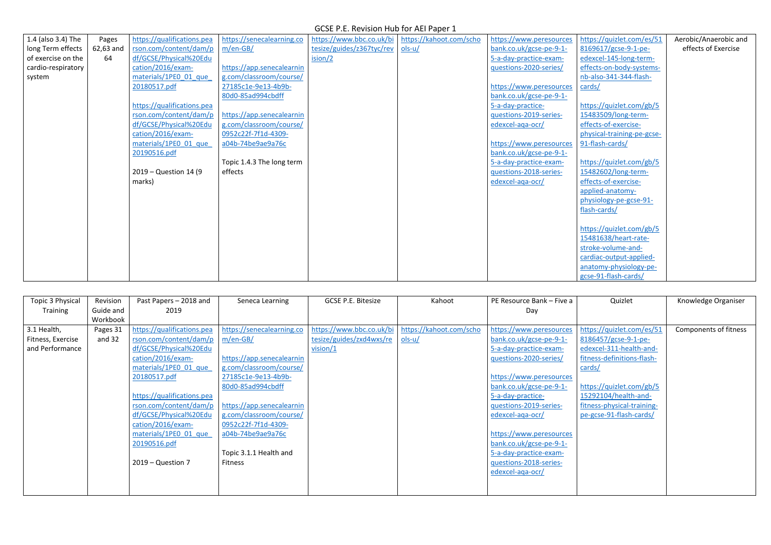| 1.4 (also 3.4) The | Pages     | https://qualifications.pea | https://senecalearning.co | https://www.bbc.co.uk/bi  | https://kahoot.com/scho | https://www.peresources | https://quizlet.com/es/51  | Aerobic/Anaerobic and |
|--------------------|-----------|----------------------------|---------------------------|---------------------------|-------------------------|-------------------------|----------------------------|-----------------------|
| long Term effects  | 62,63 and | rson.com/content/dam/p     | $m/en-GB/$                | tesize/guides/z367tyc/rev | $ols-u/$                | bank.co.uk/gcse-pe-9-1- | 8169617/gcse-9-1-pe-       | effects of Exercise   |
| of exercise on the | 64        | df/GCSE/Physical%20Edu     |                           | ision/2                   |                         | 5-a-day-practice-exam-  | edexcel-145-long-term-     |                       |
| cardio-respiratory |           | cation/2016/exam-          | https://app.senecalearnin |                           |                         | questions-2020-series/  | effects-on-body-systems-   |                       |
| system             |           | materials/1PE0 01 que      | g.com/classroom/course/   |                           |                         |                         | nb-also-341-344-flash-     |                       |
|                    |           | 20180517.pdf               | 27185c1e-9e13-4b9b-       |                           |                         | https://www.peresources | cards/                     |                       |
|                    |           |                            | 80d0-85ad994cbdff         |                           |                         | bank.co.uk/gcse-pe-9-1- |                            |                       |
|                    |           | https://qualifications.pea |                           |                           |                         | 5-a-day-practice-       | https://quizlet.com/gb/5   |                       |
|                    |           | rson.com/content/dam/p     | https://app.senecalearnin |                           |                         | questions-2019-series-  | 15483509/long-term-        |                       |
|                    |           | df/GCSE/Physical%20Edu     | g.com/classroom/course/   |                           |                         | edexcel-aga-ocr/        | effects-of-exercise-       |                       |
|                    |           | cation/2016/exam-          | 0952c22f-7f1d-4309-       |                           |                         |                         | physical-training-pe-gcse- |                       |
|                    |           | materials/1PE0 01 que      | a04b-74be9ae9a76c         |                           |                         | https://www.peresources | 91-flash-cards/            |                       |
|                    |           | 20190516.pdf               |                           |                           |                         | bank.co.uk/gcse-pe-9-1- |                            |                       |
|                    |           |                            | Topic 1.4.3 The long term |                           |                         | 5-a-day-practice-exam-  | https://quizlet.com/gb/5   |                       |
|                    |           | 2019 – Question 14 (9)     | effects                   |                           |                         | questions-2018-series-  | 15482602/long-term-        |                       |
|                    |           | marks)                     |                           |                           |                         | edexcel-aga-ocr/        | effects-of-exercise-       |                       |
|                    |           |                            |                           |                           |                         |                         | applied-anatomy-           |                       |
|                    |           |                            |                           |                           |                         |                         | physiology-pe-gcse-91-     |                       |
|                    |           |                            |                           |                           |                         |                         | flash-cards/               |                       |
|                    |           |                            |                           |                           |                         |                         |                            |                       |
|                    |           |                            |                           |                           |                         |                         | https://quizlet.com/gb/5   |                       |
|                    |           |                            |                           |                           |                         |                         | 15481638/heart-rate-       |                       |
|                    |           |                            |                           |                           |                         |                         | stroke-volume-and-         |                       |
|                    |           |                            |                           |                           |                         |                         | cardiac-output-applied-    |                       |
|                    |           |                            |                           |                           |                         |                         | anatomy-physiology-pe-     |                       |
|                    |           |                            |                           |                           |                         |                         | gcse-91-flash-cards/       |                       |

| Topic 3 Physical  | Revision  | Past Papers - 2018 and     | Seneca Learning           | <b>GCSE P.E. Bitesize</b> | Kahoot                  | PE Resource Bank - Five a | Quizlet                    | Knowledge Organiser   |
|-------------------|-----------|----------------------------|---------------------------|---------------------------|-------------------------|---------------------------|----------------------------|-----------------------|
| Training          | Guide and | 2019                       |                           |                           |                         | Day                       |                            |                       |
|                   | Workbook  |                            |                           |                           |                         |                           |                            |                       |
| 3.1 Health,       | Pages 31  | https://qualifications.pea | https://senecalearning.co | https://www.bbc.co.uk/bi  | https://kahoot.com/scho | https://www.peresources   | https://quizlet.com/es/51  | Components of fitness |
| Fitness, Exercise | and 32    | rson.com/content/dam/p     | $m/en-GB/$                | tesize/guides/zxd4wxs/re  | $ols-u/$                | bank.co.uk/gcse-pe-9-1-   | 8186457/gcse-9-1-pe-       |                       |
| and Performance   |           | df/GCSE/Physical%20Edu     |                           | vision/1                  |                         | 5-a-day-practice-exam-    | edexcel-311-health-and-    |                       |
|                   |           | cation/2016/exam-          | https://app.senecalearnin |                           |                         | questions-2020-series/    | fitness-definitions-flash- |                       |
|                   |           | materials/1PE0 01 que      | g.com/classroom/course/   |                           |                         |                           | cards/                     |                       |
|                   |           | 20180517.pdf               | 27185c1e-9e13-4b9b-       |                           |                         | https://www.peresources   |                            |                       |
|                   |           |                            | 80d0-85ad994cbdff         |                           |                         | bank.co.uk/gcse-pe-9-1-   | https://quizlet.com/gb/5   |                       |
|                   |           | https://qualifications.pea |                           |                           |                         | 5-a-day-practice-         | 15292104/health-and-       |                       |
|                   |           | rson.com/content/dam/p     | https://app.senecalearnin |                           |                         | questions-2019-series-    | fitness-physical-training- |                       |
|                   |           | df/GCSE/Physical%20Edu     | g.com/classroom/course/   |                           |                         | edexcel-aga-ocr/          | pe-gcse-91-flash-cards/    |                       |
|                   |           | cation/2016/exam-          | 0952c22f-7f1d-4309-       |                           |                         |                           |                            |                       |
|                   |           | materials/1PE0 01 que      | a04b-74be9ae9a76c         |                           |                         | https://www.peresources   |                            |                       |
|                   |           | 20190516.pdf               |                           |                           |                         | bank.co.uk/gcse-pe-9-1-   |                            |                       |
|                   |           |                            | Topic 3.1.1 Health and    |                           |                         | 5-a-day-practice-exam-    |                            |                       |
|                   |           | $2019 - Question 7$        | Fitness                   |                           |                         | guestions-2018-series-    |                            |                       |
|                   |           |                            |                           |                           |                         | edexcel-aga-ocr/          |                            |                       |
|                   |           |                            |                           |                           |                         |                           |                            |                       |
|                   |           |                            |                           |                           |                         |                           |                            |                       |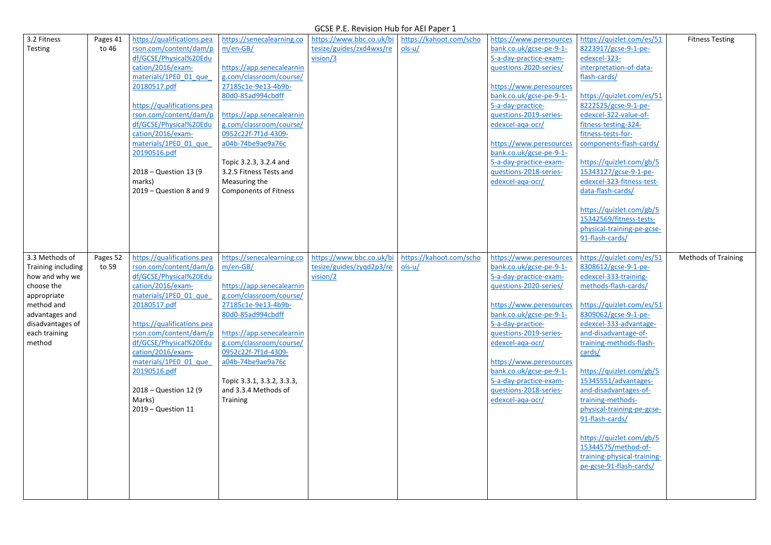| 3.2 Fitness        | Pages 41 | https://qualifications.pea                           | https://senecalearning.co                            | https://www.bbc.co.uk/bi | https://kahoot.com/scho | https://www.peresources                           | https://quizlet.com/es/51                        | <b>Fitness Testing</b>     |
|--------------------|----------|------------------------------------------------------|------------------------------------------------------|--------------------------|-------------------------|---------------------------------------------------|--------------------------------------------------|----------------------------|
| Testing            | to 46    | rson.com/content/dam/p                               | $m/en-GB/$                                           | tesize/guides/zxd4wxs/re | $ols-u/$                | bank.co.uk/gcse-pe-9-1-                           | 8223917/gcse-9-1-pe-                             |                            |
|                    |          | df/GCSE/Physical%20Edu                               |                                                      | vision/3                 |                         | 5-a-day-practice-exam-                            | edexcel-323-                                     |                            |
|                    |          | cation/2016/exam-                                    | https://app.senecalearnin                            |                          |                         | questions-2020-series/                            | interpretation-of-data-                          |                            |
|                    |          | materials/1PE0 01 que                                | g.com/classroom/course/                              |                          |                         |                                                   | flash-cards/                                     |                            |
|                    |          | 20180517.pdf                                         | 27185c1e-9e13-4b9b-                                  |                          |                         | https://www.peresources                           |                                                  |                            |
|                    |          |                                                      | 80d0-85ad994cbdff                                    |                          |                         | bank.co.uk/gcse-pe-9-1-                           | https://quizlet.com/es/51                        |                            |
|                    |          | https://qualifications.pea<br>rson.com/content/dam/p |                                                      |                          |                         | 5-a-day-practice-                                 | 8222525/gcse-9-1-pe-                             |                            |
|                    |          | df/GCSE/Physical%20Edu                               | https://app.senecalearnin<br>g.com/classroom/course/ |                          |                         | questions-2019-series-<br>edexcel-aga-ocr/        | edexcel-322-value-of-<br>fitness-testing-324-    |                            |
|                    |          | cation/2016/exam-                                    | 0952c22f-7f1d-4309-                                  |                          |                         |                                                   | fitness-tests-for-                               |                            |
|                    |          | materials/1PE0 01 que                                | a04b-74be9ae9a76c                                    |                          |                         | https://www.peresources                           | components-flash-cards/                          |                            |
|                    |          | 20190516.pdf                                         |                                                      |                          |                         | bank.co.uk/gcse-pe-9-1-                           |                                                  |                            |
|                    |          |                                                      | Topic 3.2.3, 3.2.4 and                               |                          |                         | 5-a-day-practice-exam-                            | https://quizlet.com/gb/5                         |                            |
|                    |          | 2018 - Question 13 (9                                | 3.2.5 Fitness Tests and                              |                          |                         | questions-2018-series-                            | 15343127/gcse-9-1-pe-                            |                            |
|                    |          | marks)                                               | Measuring the                                        |                          |                         | edexcel-aga-ocr/                                  | edexcel-323-fitness-test-                        |                            |
|                    |          | 2019 - Question 8 and 9                              | <b>Components of Fitness</b>                         |                          |                         |                                                   | data-flash-cards/                                |                            |
|                    |          |                                                      |                                                      |                          |                         |                                                   |                                                  |                            |
|                    |          |                                                      |                                                      |                          |                         |                                                   | https://quizlet.com/gb/5                         |                            |
|                    |          |                                                      |                                                      |                          |                         |                                                   | 15342569/fitness-tests-                          |                            |
|                    |          |                                                      |                                                      |                          |                         |                                                   | physical-training-pe-gcse-                       |                            |
|                    |          |                                                      |                                                      |                          |                         |                                                   | 91-flash-cards/                                  |                            |
| 3.3 Methods of     | Pages 52 | https://qualifications.pea                           | https://senecalearning.co                            | https://www.bbc.co.uk/bi | https://kahoot.com/scho | https://www.peresources                           | https://quizlet.com/es/51                        | <b>Methods of Training</b> |
| Training including | to 59    | rson.com/content/dam/p                               | $m/en-GB/$                                           | tesize/guides/zygd2p3/re | $ols-u/$                | bank.co.uk/gcse-pe-9-1-                           | 8308612/gcse-9-1-pe-                             |                            |
| how and why we     |          | df/GCSE/Physical%20Edu                               |                                                      | vision/2                 |                         | 5-a-day-practice-exam-                            | edexcel-333-training-                            |                            |
| choose the         |          | cation/2016/exam-                                    | https://app.senecalearnin                            |                          |                         | questions-2020-series/                            | methods-flash-cards/                             |                            |
| appropriate        |          | materials/1PE0 01 que                                | g.com/classroom/course/                              |                          |                         |                                                   |                                                  |                            |
| method and         |          | 20180517.pdf                                         | 27185c1e-9e13-4b9b-                                  |                          |                         | https://www.peresources                           | https://quizlet.com/es/51                        |                            |
| advantages and     |          |                                                      | 80d0-85ad994cbdff                                    |                          |                         | bank.co.uk/gcse-pe-9-1-                           | 8309062/gcse-9-1-pe-                             |                            |
| disadvantages of   |          | https://qualifications.pea                           |                                                      |                          |                         | 5-a-day-practice-                                 | edexcel-333-advantage-                           |                            |
| each training      |          | rson.com/content/dam/p                               | https://app.senecalearnin                            |                          |                         | questions-2019-series-                            | and-disadvantage-of-                             |                            |
| method             |          | df/GCSE/Physical%20Edu                               | g.com/classroom/course/                              |                          |                         | edexcel-aga-ocr/                                  | training-methods-flash-                          |                            |
|                    |          | cation/2016/exam-                                    | 0952c22f-7f1d-4309-                                  |                          |                         |                                                   | cards/                                           |                            |
|                    |          | materials/1PE0 01 que                                | a04b-74be9ae9a76c                                    |                          |                         | https://www.peresources                           |                                                  |                            |
|                    |          | 20190516.pdf                                         | Topic 3.3.1, 3.3.2, 3.3.3,                           |                          |                         | bank.co.uk/gcse-pe-9-1-<br>5-a-day-practice-exam- | https://quizlet.com/gb/5<br>15345551/advantages- |                            |
|                    |          | 2018 – Question 12 (9)                               | and 3.3.4 Methods of                                 |                          |                         | questions-2018-series-                            | and-disadvantages-of-                            |                            |
|                    |          | Marks)                                               | <b>Training</b>                                      |                          |                         | edexcel-aga-ocr/                                  | training-methods-                                |                            |
|                    |          | $2019 - Question 11$                                 |                                                      |                          |                         |                                                   | physical-training-pe-gcse-                       |                            |
|                    |          |                                                      |                                                      |                          |                         |                                                   | 91-flash-cards/                                  |                            |
|                    |          |                                                      |                                                      |                          |                         |                                                   |                                                  |                            |
|                    |          |                                                      |                                                      |                          |                         |                                                   | https://quizlet.com/gb/5                         |                            |
|                    |          |                                                      |                                                      |                          |                         |                                                   | 15344575/method-of-                              |                            |
|                    |          |                                                      |                                                      |                          |                         |                                                   | training-physical-training-                      |                            |
|                    |          |                                                      |                                                      |                          |                         |                                                   | pe-gcse-91-flash-cards/                          |                            |
|                    |          |                                                      |                                                      |                          |                         |                                                   |                                                  |                            |
|                    |          |                                                      |                                                      |                          |                         |                                                   |                                                  |                            |
|                    |          |                                                      |                                                      |                          |                         |                                                   |                                                  |                            |